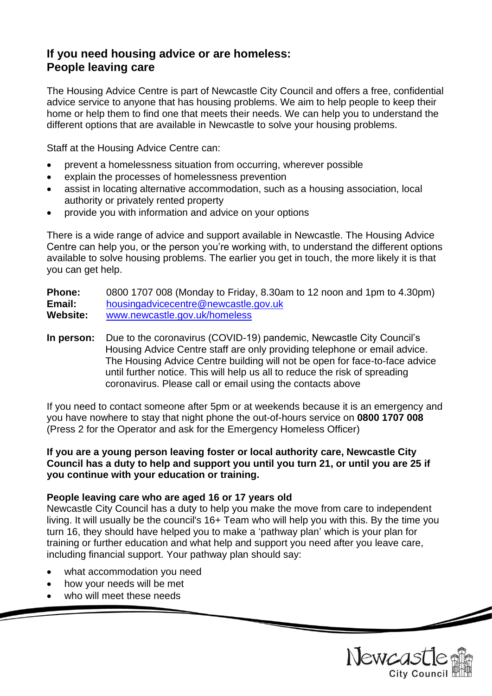# **If you need housing advice or are homeless: People leaving care**

The Housing Advice Centre is part of Newcastle City Council and offers a free, confidential advice service to anyone that has housing problems. We aim to help people to keep their home or help them to find one that meets their needs. We can help you to understand the different options that are available in Newcastle to solve your housing problems.

Staff at the Housing Advice Centre can:

- prevent a homelessness situation from occurring, wherever possible
- explain the processes of homelessness prevention
- assist in locating alternative accommodation, such as a housing association, local authority or privately rented property
- provide you with information and advice on your options

There is a wide range of advice and support available in Newcastle. The Housing Advice Centre can help you, or the person you're working with, to understand the different options available to solve housing problems. The earlier you get in touch, the more likely it is that you can get help.

**Phone:** 0800 1707 008 (Monday to Friday, 8.30am to 12 noon and 1pm to 4.30pm) **Email:** [housingadvicecentre@newcastle.gov.uk](mailto:housingadvicecentre@newcastle.gov.uk) **Website:** [www.newcastle.gov.uk/homeless](http://www.newcastle.gov.uk/homeless)

**In person:** Due to the coronavirus (COVID-19) pandemic, Newcastle City Council's Housing Advice Centre staff are only providing telephone or email advice. The Housing Advice Centre building will not be open for face-to-face advice until further notice. This will help us all to reduce the risk of spreading coronavirus. Please call or email using the contacts above

If you need to contact someone after 5pm or at weekends because it is an emergency and you have nowhere to stay that night phone the out-of-hours service on **0800 1707 008** (Press 2 for the Operator and ask for the Emergency Homeless Officer)

#### **If you are a young person leaving foster or local authority care, Newcastle City Council has a duty to help and support you until you turn 21, or until you are 25 if you continue with your education or training.**

### **People leaving care who are aged 16 or 17 years old**

Newcastle City Council has a duty to help you make the move from care to independent living. It will usually be the council's 16+ Team who will help you with this. By the time you turn 16, they should have helped you to make a 'pathway plan' which is your plan for training or further education and what help and support you need after you leave care, including financial support. Your pathway plan should say:

- what accommodation you need
- how your needs will be met
- who will meet these needs

Newcast